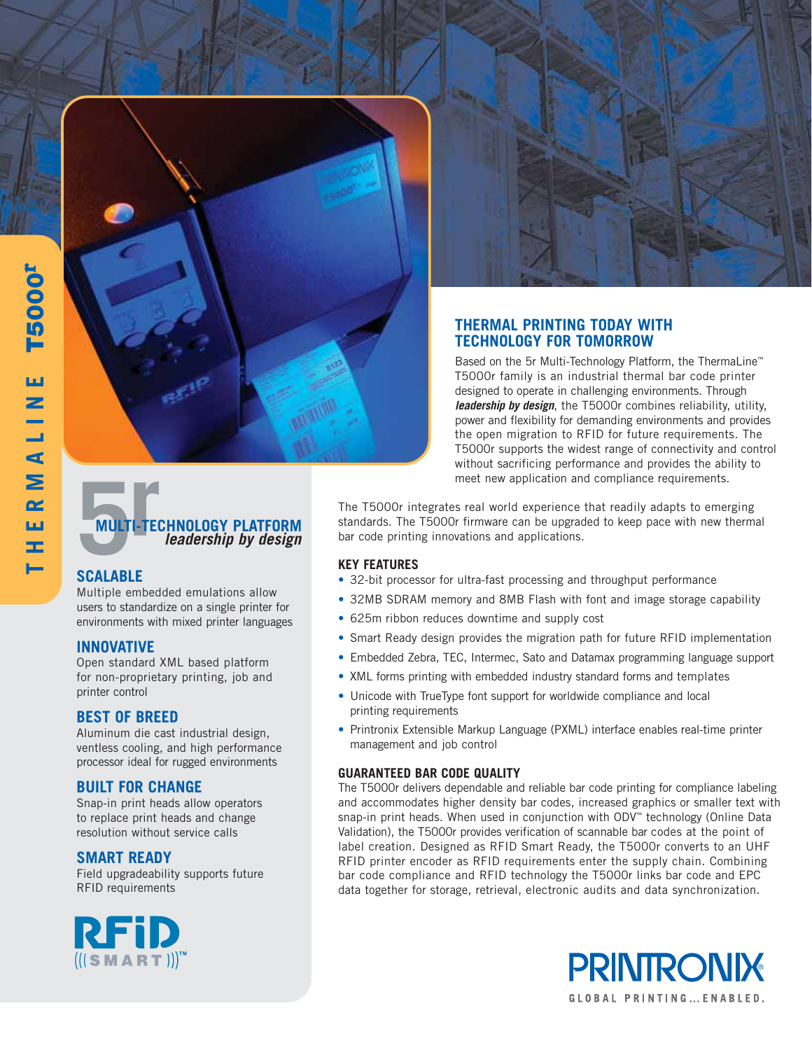# 5 **MULTI-TECHNOLOGY PLATFORM rleadership by design**

## **SCALABLE**

Multiple embedded emulations allow users to standardize on a single printer for environments with mixed printer languages

## **INNOVATIVE**

Open standard XML based platform for non-proprietary printing, job and printer control

## **BEST OF BREED**

Aluminum die cast industrial design, ventless cooling, and high performance processor ideal for rugged environments

## **BUILT FOR CHANGE**

Snap-in print heads allow operators to replace print heads and change resolution without service calls

## **SMART READY**

Field upgradeability supports future RFID requirements





## **THERMAL PRINTING TODAY WITH TECHNOLOGY FOR TOMORROW**

Based on the 5r Multi-Technology Platform, the ThermaLine™ T5000r family is an industrial thermal bar code printer designed to operate in challenging environments. Through **leadership by design**, the T5000r combines reliability, utility, power and flexibility for demanding environments and provides the open migration to RFID for future requirements. The T5000r supports the widest range of connectivity and control without sacrificing performance and provides the ability to meet new application and compliance requirements.

The T5000r integrates real world experience that readily adapts to emerging standards. The T5000r firmware can be upgraded to keep pace with new thermal bar code printing innovations and applications.

## **KEY FEATURES**

- 32-bit processor for ultra-fast processing and throughput performance
- 32MB SDRAM memory and 8MB Flash with font and image storage capability
- 625m ribbon reduces downtime and supply cost
- Smart Ready design provides the migration path for future RFID implementation
- Embedded Zebra, TEC, Intermec, Sato and Datamax programming language support
- XML forms printing with embedded industry standard forms and templates
- Unicode with TrueType font support for worldwide compliance and local printing requirements
- Printronix Extensible Markup Language (PXML) interface enables real-time printer management and job control

#### **GUARANTEED BAR CODE QUALITY**

The T5000r delivers dependable and reliable bar code printing for compliance labeling and accommodates higher density bar codes, increased graphics or smaller text with snap-in print heads. When used in conjunction with ODV<sup>™</sup> technology (Online Data Validation), the T5000r provides verification of scannable bar codes at the point of label creation. Designed as RFID Smart Ready, the T5000r converts to an UHF RFID printer encoder as RFID requirements enter the supply chain. Combining bar code compliance and RFID technology the T5000r links bar code and EPC data together for storage, retrieval, electronic audits and data synchronization.